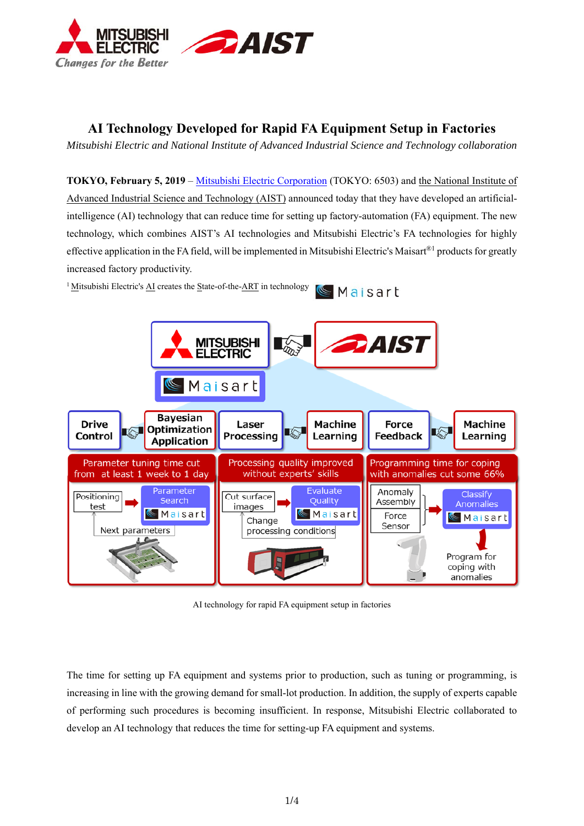

# **AI Technology Developed for Rapid FA Equipment Setup in Factories**

*Mitsubishi Electric and National Institute of Advanced Industrial Science and Technology collaboration* 

**TOKYO, February 5, 2019** – Mitsubishi Electric Corporation (TOKYO: 6503) and the National Institute of Advanced Industrial Science and Technology (AIST) announced today that they have developed an artificialintelligence (AI) technology that can reduce time for setting up factory-automation (FA) equipment. The new technology, which combines AIST's AI technologies and Mitsubishi Electric's FA technologies for highly effective application in the FA field, will be implemented in Mitsubishi Electric's Maisart®<sup>1</sup> products for greatly increased factory productivity.

<sup>1</sup> Mitsubishi Electric's AI creates the State-of-the-ART in technology Maisart



AI technology for rapid FA equipment setup in factories

The time for setting up FA equipment and systems prior to production, such as tuning or programming, is increasing in line with the growing demand for small-lot production. In addition, the supply of experts capable of performing such procedures is becoming insufficient. In response, Mitsubishi Electric collaborated to develop an AI technology that reduces the time for setting-up FA equipment and systems.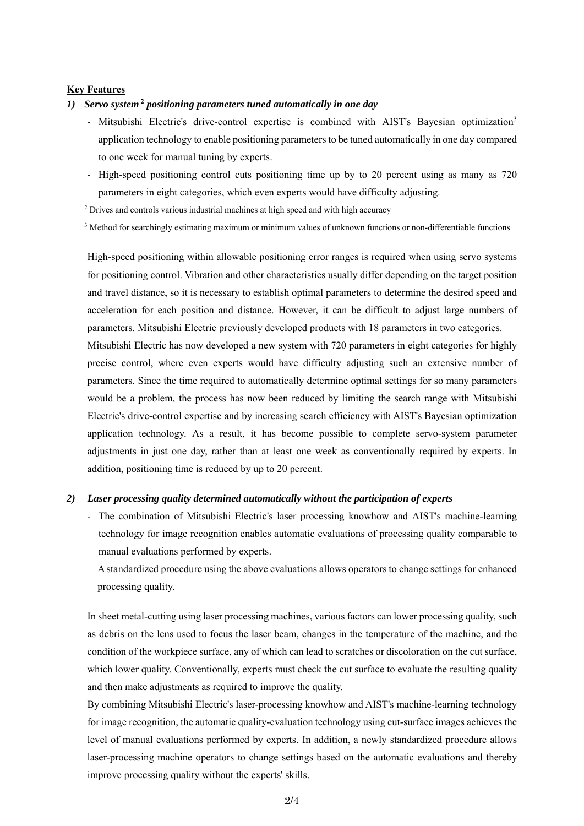# **Key Features**

### *1) Servo system* **<sup>2</sup>**  *positioning parameters tuned automatically in one day*

- Mitsubishi Electric's drive-control expertise is combined with AIST's Bayesian optimization<sup>3</sup> application technology to enable positioning parameters to be tuned automatically in one day compared to one week for manual tuning by experts.
- High-speed positioning control cuts positioning time up by to 20 percent using as many as 720 parameters in eight categories, which even experts would have difficulty adjusting.
- <sup>2</sup> Drives and controls various industrial machines at high speed and with high accuracy
- <sup>3</sup> Method for searchingly estimating maximum or minimum values of unknown functions or non-differentiable functions

High-speed positioning within allowable positioning error ranges is required when using servo systems for positioning control. Vibration and other characteristics usually differ depending on the target position and travel distance, so it is necessary to establish optimal parameters to determine the desired speed and acceleration for each position and distance. However, it can be difficult to adjust large numbers of parameters. Mitsubishi Electric previously developed products with 18 parameters in two categories.

Mitsubishi Electric has now developed a new system with 720 parameters in eight categories for highly precise control, where even experts would have difficulty adjusting such an extensive number of parameters. Since the time required to automatically determine optimal settings for so many parameters would be a problem, the process has now been reduced by limiting the search range with Mitsubishi Electric's drive-control expertise and by increasing search efficiency with AIST's Bayesian optimization application technology. As a result, it has become possible to complete servo-system parameter adjustments in just one day, rather than at least one week as conventionally required by experts. In addition, positioning time is reduced by up to 20 percent.

#### *2) Laser processing quality determined automatically without the participation of experts*

- The combination of Mitsubishi Electric's laser processing knowhow and AIST's machine-learning technology for image recognition enables automatic evaluations of processing quality comparable to manual evaluations performed by experts.

A standardized procedure using the above evaluations allows operators to change settings for enhanced processing quality.

In sheet metal-cutting using laser processing machines, various factors can lower processing quality, such as debris on the lens used to focus the laser beam, changes in the temperature of the machine, and the condition of the workpiece surface, any of which can lead to scratches or discoloration on the cut surface, which lower quality. Conventionally, experts must check the cut surface to evaluate the resulting quality and then make adjustments as required to improve the quality.

By combining Mitsubishi Electric's laser-processing knowhow and AIST's machine-learning technology for image recognition, the automatic quality-evaluation technology using cut-surface images achieves the level of manual evaluations performed by experts. In addition, a newly standardized procedure allows laser-processing machine operators to change settings based on the automatic evaluations and thereby improve processing quality without the experts' skills.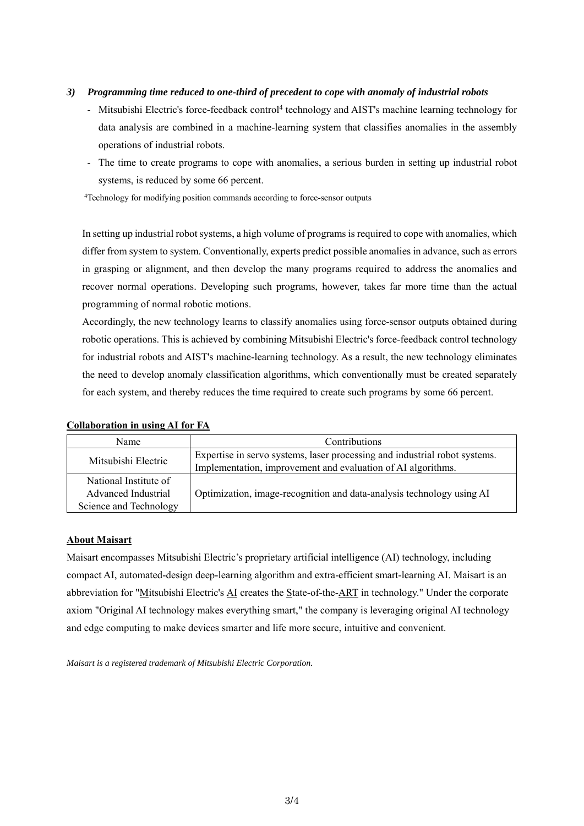# *3) Programming time reduced to one-third of precedent to cope with anomaly of industrial robots*

- Mitsubishi Electric's force-feedback control<sup>4</sup> technology and AIST's machine learning technology for data analysis are combined in a machine-learning system that classifies anomalies in the assembly operations of industrial robots.
- The time to create programs to cope with anomalies, a serious burden in setting up industrial robot systems, is reduced by some 66 percent.

4 Technology for modifying position commands according to force-sensor outputs

In setting up industrial robot systems, a high volume of programs is required to cope with anomalies, which differ from system to system. Conventionally, experts predict possible anomalies in advance, such as errors in grasping or alignment, and then develop the many programs required to address the anomalies and recover normal operations. Developing such programs, however, takes far more time than the actual programming of normal robotic motions.

Accordingly, the new technology learns to classify anomalies using force-sensor outputs obtained during robotic operations. This is achieved by combining Mitsubishi Electric's force-feedback control technology for industrial robots and AIST's machine-learning technology. As a result, the new technology eliminates the need to develop anomaly classification algorithms, which conventionally must be created separately for each system, and thereby reduces the time required to create such programs by some 66 percent.

| Name                   | <b>Contributions</b>                                                       |
|------------------------|----------------------------------------------------------------------------|
| Mitsubishi Electric    | Expertise in servo systems, laser processing and industrial robot systems. |
|                        | Implementation, improvement and evaluation of AI algorithms.               |
| National Institute of  |                                                                            |
| Advanced Industrial    | Optimization, image-recognition and data-analysis technology using AI      |
| Science and Technology |                                                                            |

# **Collaboration in using AI for FA**

# **About Maisart**

Maisart encompasses Mitsubishi Electric's proprietary artificial intelligence (AI) technology, including compact AI, automated-design deep-learning algorithm and extra-efficient smart-learning AI. Maisart is an abbreviation for "Mitsubishi Electric's AI creates the State-of-the-ART in technology." Under the corporate axiom "Original AI technology makes everything smart," the company is leveraging original AI technology and edge computing to make devices smarter and life more secure, intuitive and convenient.

*Maisart is a registered trademark of Mitsubishi Electric Corporation.*